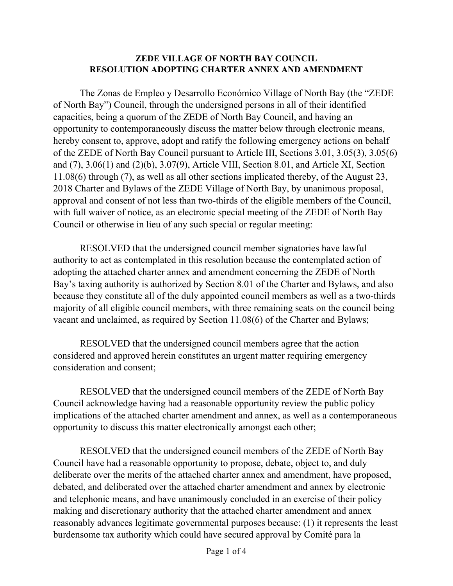#### **ZEDE VILLAGE OF NORTH BAY COUNCIL RESOLUTION ADOPTING CHARTER ANNEX AND AMENDMENT**

The Zonas de Empleo y Desarrollo Económico Village of North Bay (the "ZEDE of North Bay") Council, through the undersigned persons in all of their identified capacities, being a quorum of the ZEDE of North Bay Council, and having an opportunity to contemporaneously discuss the matter below through electronic means, hereby consent to, approve, adopt and ratify the following emergency actions on behalf of the ZEDE of North Bay Council pursuant to Article III, Sections 3.01, 3.05(3), 3.05(6) and (7), 3.06(1) and (2)(b), 3.07(9), Article VIII, Section 8.01, and Article XI, Section 11.08(6) through (7), as well as all other sections implicated thereby, of the August 23, 2018 Charter and Bylaws of the ZEDE Village of North Bay, by unanimous proposal, approval and consent of not less than two-thirds of the eligible members of the Council, with full waiver of notice, as an electronic special meeting of the ZEDE of North Bay Council or otherwise in lieu of any such special or regular meeting:

RESOLVED that the undersigned council member signatories have lawful authority to act as contemplated in this resolution because the contemplated action of adopting the attached charter annex and amendment concerning the ZEDE of North Bay's taxing authority is authorized by Section 8.01 of the Charter and Bylaws, and also because they constitute all of the duly appointed council members as well as a two-thirds majority of all eligible council members, with three remaining seats on the council being vacant and unclaimed, as required by Section 11.08(6) of the Charter and Bylaws;

RESOLVED that the undersigned council members agree that the action considered and approved herein constitutes an urgent matter requiring emergency consideration and consent;

RESOLVED that the undersigned council members of the ZEDE of North Bay Council acknowledge having had a reasonable opportunity review the public policy implications of the attached charter amendment and annex, as well as a contemporaneous opportunity to discuss this matter electronically amongst each other;

RESOLVED that the undersigned council members of the ZEDE of North Bay Council have had a reasonable opportunity to propose, debate, object to, and duly deliberate over the merits of the attached charter annex and amendment, have proposed, debated, and deliberated over the attached charter amendment and annex by electronic and telephonic means, and have unanimously concluded in an exercise of their policy making and discretionary authority that the attached charter amendment and annex reasonably advances legitimate governmental purposes because: (1) it represents the least burdensome tax authority which could have secured approval by Comité para la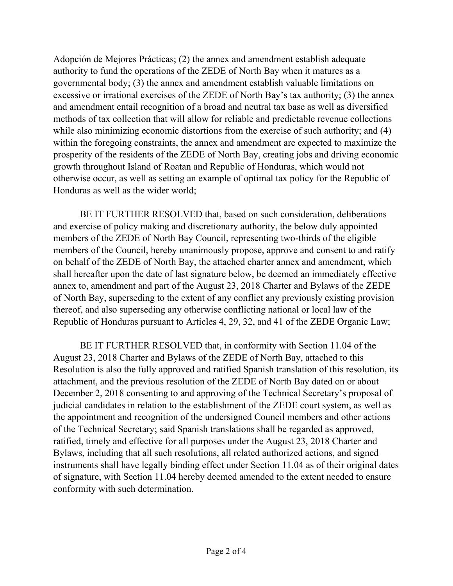Adopción de Mejores Prácticas; (2) the annex and amendment establish adequate authority to fund the operations of the ZEDE of North Bay when it matures as a governmental body; (3) the annex and amendment establish valuable limitations on excessive or irrational exercises of the ZEDE of North Bay's tax authority; (3) the annex and amendment entail recognition of a broad and neutral tax base as well as diversified methods of tax collection that will allow for reliable and predictable revenue collections while also minimizing economic distortions from the exercise of such authority; and (4) within the foregoing constraints, the annex and amendment are expected to maximize the prosperity of the residents of the ZEDE of North Bay, creating jobs and driving economic growth throughout Island of Roatan and Republic of Honduras, which would not otherwise occur, as well as setting an example of optimal tax policy for the Republic of Honduras as well as the wider world;

BE IT FURTHER RESOLVED that, based on such consideration, deliberations and exercise of policy making and discretionary authority, the below duly appointed members of the ZEDE of North Bay Council, representing two-thirds of the eligible members of the Council, hereby unanimously propose, approve and consent to and ratify on behalf of the ZEDE of North Bay, the attached charter annex and amendment, which shall hereafter upon the date of last signature below, be deemed an immediately effective annex to, amendment and part of the August 23, 2018 Charter and Bylaws of the ZEDE of North Bay, superseding to the extent of any conflict any previously existing provision thereof, and also superseding any otherwise conflicting national or local law of the Republic of Honduras pursuant to Articles 4, 29, 32, and 41 of the ZEDE Organic Law;

BE IT FURTHER RESOLVED that, in conformity with Section 11.04 of the August 23, 2018 Charter and Bylaws of the ZEDE of North Bay, attached to this Resolution is also the fully approved and ratified Spanish translation of this resolution, its attachment, and the previous resolution of the ZEDE of North Bay dated on or about December 2, 2018 consenting to and approving of the Technical Secretary's proposal of judicial candidates in relation to the establishment of the ZEDE court system, as well as the appointment and recognition of the undersigned Council members and other actions of the Technical Secretary; said Spanish translations shall be regarded as approved, ratified, timely and effective for all purposes under the August 23, 2018 Charter and Bylaws, including that all such resolutions, all related authorized actions, and signed instruments shall have legally binding effect under Section 11.04 as of their original dates of signature, with Section 11.04 hereby deemed amended to the extent needed to ensure conformity with such determination.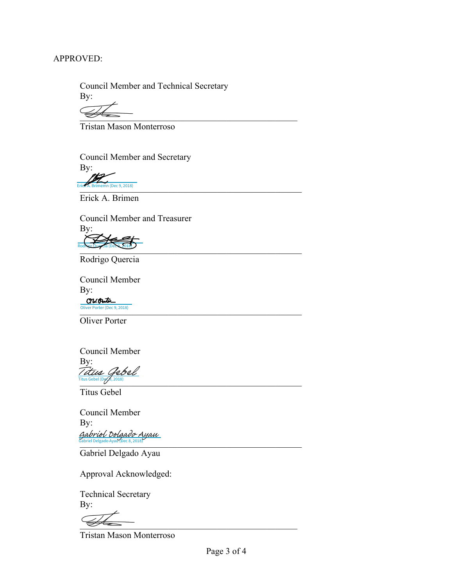#### APPROVED:

 Council Member and Technical Secretary By:

 $\frac{1}{2}$ 

Tristan Mason Monterroso

Council Member and Secretary By:

 $, 2018$ 

Erick A. Brimemn (Dec 9, 2018) Erick A. Brimen

 Council Member and Treasurer By: [\\_\\_\\_\\_\\_\\_\\_\\_\\_\\_\\_\\_\\_\\_\\_\\_\\_\\_\\_\\_\\_\\_\\_\\_\\_\\_\\_\\_\\_\\_\\_\\_\\_\\_\\_](https://eu1.documents.adobe.com/verifier?tx=CBJCHBCAABAAXwmjkN8LEf9Aka34nXujpDZqQjbkGHob)\_\_\_\_\_\_\_\_\_\_\_\_\_\_\_ Rodrigo Quercia (Dec 9, 2018)

Rodrigo Quercia

 Council Member By: CW. Ante oliver Porter (Dec 9, 2018)<br>
The contract of the contract of the contract of the contract of the contract of the contract of the contract of the contract of the contract of the contract of the contract of the contract of t Oliver Porter (Dec 9, 2018)

Oliver Porter

Council Member By: Titus Gebel (Dost), 2018) [Titus Gebel](https://eu1.documents.adobe.com/verifier?tx=CBJCHBCAABAAXwmjkN8LEf9Aka34nXujpDZqQjbkGHob)

Titus Gebel

Council Member By:  $\frac{1}{2}$  Gabriel Delgado Ayau (Dec 8, 2018) Gabriel Delgado Ayau (Dec 8, 2018) [Gabriel Delgado Ayau](https://eu1.documents.adobe.com/verifier?tx=CBJCHBCAABAAXwmjkN8LEf9Aka34nXujpDZqQjbkGHob)

Gabriel Delgado Ayau

Approval Acknowledged:

 Technical Secretary By:

 $\overline{\mathscr{L}}$ 

Tristan Mason Monterroso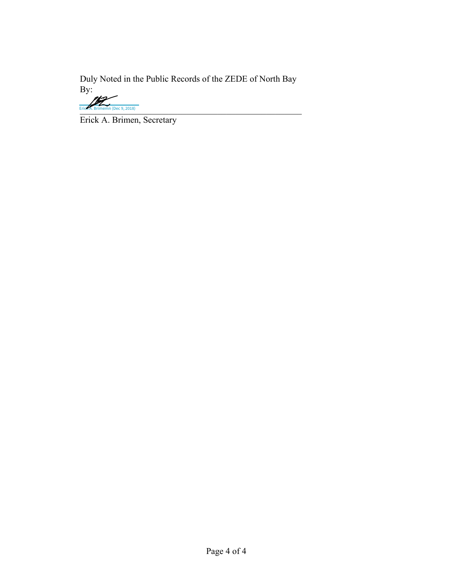Duly Noted in the Public Records of the ZEDE of North Bay By:

Erick A. Brimemn (Dec 9, 2018)

Erick A. Brimen, Secretary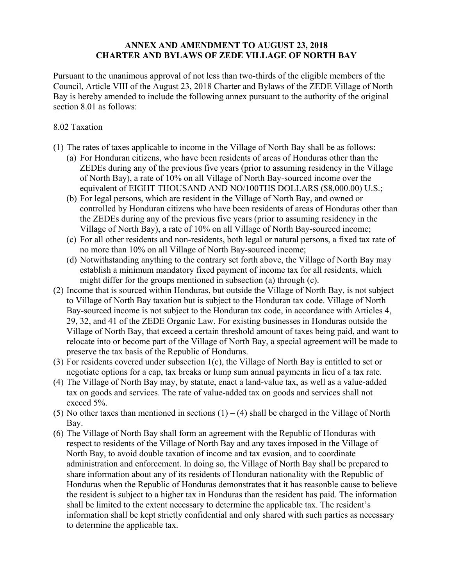#### **ANNEX AND AMENDMENT TO AUGUST 23, 2018 CHARTER AND BYLAWS OF ZEDE VILLAGE OF NORTH BAY**

Pursuant to the unanimous approval of not less than two-thirds of the eligible members of the Council, Article VIII of the August 23, 2018 Charter and Bylaws of the ZEDE Village of North Bay is hereby amended to include the following annex pursuant to the authority of the original section 8.01 as follows:

#### 8.02 Taxation

- (1) The rates of taxes applicable to income in the Village of North Bay shall be as follows:
	- (a) For Honduran citizens, who have been residents of areas of Honduras other than the ZEDEs during any of the previous five years (prior to assuming residency in the Village of North Bay), a rate of 10% on all Village of North Bay-sourced income over the equivalent of EIGHT THOUSAND AND NO/100THS DOLLARS (\$8,000.00) U.S.;
	- (b) For legal persons, which are resident in the Village of North Bay, and owned or controlled by Honduran citizens who have been residents of areas of Honduras other than the ZEDEs during any of the previous five years (prior to assuming residency in the Village of North Bay), a rate of 10% on all Village of North Bay-sourced income;
	- (c) For all other residents and non-residents, both legal or natural persons, a fixed tax rate of no more than 10% on all Village of North Bay-sourced income;
	- (d) Notwithstanding anything to the contrary set forth above, the Village of North Bay may establish a minimum mandatory fixed payment of income tax for all residents, which might differ for the groups mentioned in subsection (a) through (c).
- (2) Income that is sourced within Honduras, but outside the Village of North Bay, is not subject to Village of North Bay taxation but is subject to the Honduran tax code. Village of North Bay-sourced income is not subject to the Honduran tax code, in accordance with Articles 4, 29, 32, and 41 of the ZEDE Organic Law. For existing businesses in Honduras outside the Village of North Bay, that exceed a certain threshold amount of taxes being paid, and want to relocate into or become part of the Village of North Bay, a special agreement will be made to preserve the tax basis of the Republic of Honduras.
- (3) For residents covered under subsection 1(c), the Village of North Bay is entitled to set or negotiate options for a cap, tax breaks or lump sum annual payments in lieu of a tax rate.
- (4) The Village of North Bay may, by statute, enact a land-value tax, as well as a value-added tax on goods and services. The rate of value-added tax on goods and services shall not exceed 5%.
- (5) No other taxes than mentioned in sections  $(1) (4)$  shall be charged in the Village of North Bay.
- (6) The Village of North Bay shall form an agreement with the Republic of Honduras with respect to residents of the Village of North Bay and any taxes imposed in the Village of North Bay, to avoid double taxation of income and tax evasion, and to coordinate administration and enforcement. In doing so, the Village of North Bay shall be prepared to share information about any of its residents of Honduran nationality with the Republic of Honduras when the Republic of Honduras demonstrates that it has reasonble cause to believe the resident is subject to a higher tax in Honduras than the resident has paid. The information shall be limited to the extent necessary to determine the applicable tax. The resident's information shall be kept strictly confidential and only shared with such parties as necessary to determine the applicable tax.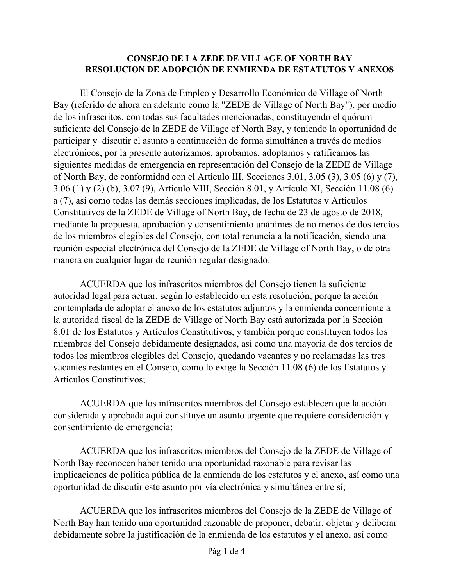#### **CONSEJO DE LA ZEDE DE VILLAGE OF NORTH BAY RESOLUCION DE ADOPCIÓN DE ENMIENDA DE ESTATUTOS Y ANEXOS**

El Consejo de la Zona de Empleo y Desarrollo Económico de Village of North Bay (referido de ahora en adelante como la "ZEDE de Village of North Bay"), por medio de los infrascritos, con todas sus facultades mencionadas, constituyendo el quórum suficiente del Consejo de la ZEDE de Village of North Bay, y teniendo la oportunidad de participar y discutir el asunto a continuación de forma simultánea a través de medios electrónicos, por la presente autorizamos, aprobamos, adoptamos y ratificamos las siguientes medidas de emergencia en representación del Consejo de la ZEDE de Village of North Bay, de conformidad con el Artículo III, Secciones 3.01, 3.05 (3), 3.05 (6) y (7), 3.06 (1) y (2) (b), 3.07 (9), Artículo VIII, Sección 8.01, y Artículo XI, Sección 11.08 (6) a (7), así como todas las demás secciones implicadas, de los Estatutos y Artículos Constitutivos de la ZEDE de Village of North Bay, de fecha de 23 de agosto de 2018, mediante la propuesta, aprobación y consentimiento unánimes de no menos de dos tercios de los miembros elegibles del Consejo, con total renuncia a la notificación, siendo una reunión especial electrónica del Consejo de la ZEDE de Village of North Bay, o de otra manera en cualquier lugar de reunión regular designado:

ACUERDA que los infrascritos miembros del Consejo tienen la suficiente autoridad legal para actuar, según lo establecido en esta resolución, porque la acción contemplada de adoptar el anexo de los estatutos adjuntos y la enmienda concerniente a la autoridad fiscal de la ZEDE de Village of North Bay está autorizada por la Sección 8.01 de los Estatutos y Artículos Constitutivos, y también porque constituyen todos los miembros del Consejo debidamente designados, así como una mayoría de dos tercios de todos los miembros elegibles del Consejo, quedando vacantes y no reclamadas las tres vacantes restantes en el Consejo, como lo exige la Sección 11.08 (6) de los Estatutos y Artículos Constitutivos;

ACUERDA que los infrascritos miembros del Consejo establecen que la acción considerada y aprobada aquí constituye un asunto urgente que requiere consideración y consentimiento de emergencia;

ACUERDA que los infrascritos miembros del Consejo de la ZEDE de Village of North Bay reconocen haber tenido una oportunidad razonable para revisar las implicaciones de política pública de la enmienda de los estatutos y el anexo, así como una oportunidad de discutir este asunto por vía electrónica y simultánea entre sí;

ACUERDA que los infrascritos miembros del Consejo de la ZEDE de Village of North Bay han tenido una oportunidad razonable de proponer, debatir, objetar y deliberar debidamente sobre la justificación de la enmienda de los estatutos y el anexo, así como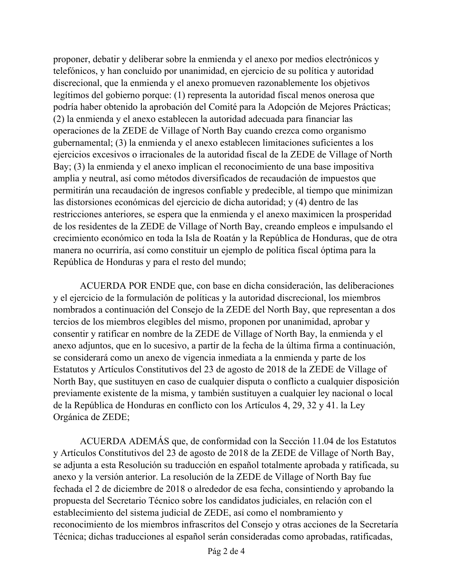proponer, debatir y deliberar sobre la enmienda y el anexo por medios electrónicos y telefónicos, y han concluido por unanimidad, en ejercicio de su política y autoridad discrecional, que la enmienda y el anexo promueven razonablemente los objetivos legítimos del gobierno porque: (1) representa la autoridad fiscal menos onerosa que podría haber obtenido la aprobación del Comité para la Adopción de Mejores Prácticas; (2) la enmienda y el anexo establecen la autoridad adecuada para financiar las operaciones de la ZEDE de Village of North Bay cuando crezca como organismo gubernamental; (3) la enmienda y el anexo establecen limitaciones suficientes a los ejercicios excesivos o irracionales de la autoridad fiscal de la ZEDE de Village of North Bay; (3) la enmienda y el anexo implican el reconocimiento de una base impositiva amplia y neutral, así como métodos diversificados de recaudación de impuestos que permitirán una recaudación de ingresos confiable y predecible, al tiempo que minimizan las distorsiones económicas del ejercicio de dicha autoridad; y (4) dentro de las restricciones anteriores, se espera que la enmienda y el anexo maximicen la prosperidad de los residentes de la ZEDE de Village of North Bay, creando empleos e impulsando el crecimiento económico en toda la Isla de Roatán y la República de Honduras, que de otra manera no ocurriría, así como constituir un ejemplo de política fiscal óptima para la República de Honduras y para el resto del mundo;

ACUERDA POR ENDE que, con base en dicha consideración, las deliberaciones y el ejercicio de la formulación de políticas y la autoridad discrecional, los miembros nombrados a continuación del Consejo de la ZEDE del North Bay, que representan a dos tercios de los miembros elegibles del mismo, proponen por unanimidad, aprobar y consentir y ratificar en nombre de la ZEDE de Village of North Bay, la enmienda y el anexo adjuntos, que en lo sucesivo, a partir de la fecha de la última firma a continuación, se considerará como un anexo de vigencia inmediata a la enmienda y parte de los Estatutos y Artículos Constitutivos del 23 de agosto de 2018 de la ZEDE de Village of North Bay, que sustituyen en caso de cualquier disputa o conflicto a cualquier disposición previamente existente de la misma, y también sustituyen a cualquier ley nacional o local de la República de Honduras en conflicto con los Artículos 4, 29, 32 y 41. la Ley Orgánica de ZEDE;

ACUERDA ADEMÁS que, de conformidad con la Sección 11.04 de los Estatutos y Artículos Constitutivos del 23 de agosto de 2018 de la ZEDE de Village of North Bay, se adjunta a esta Resolución su traducción en español totalmente aprobada y ratificada, su anexo y la versión anterior. La resolución de la ZEDE de Village of North Bay fue fechada el 2 de diciembre de 2018 o alrededor de esa fecha, consintiendo y aprobando la propuesta del Secretario Técnico sobre los candidatos judiciales, en relación con el establecimiento del sistema judicial de ZEDE, así como el nombramiento y reconocimiento de los miembros infrascritos del Consejo y otras acciones de la Secretaría Técnica; dichas traducciones al español serán consideradas como aprobadas, ratificadas,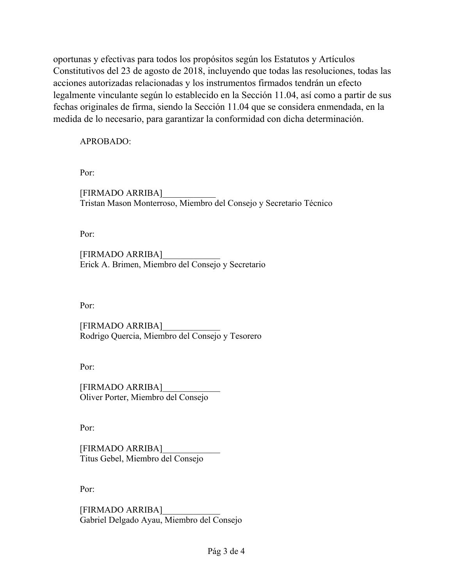oportunas y efectivas para todos los propósitos según los Estatutos y Artículos Constitutivos del 23 de agosto de 2018, incluyendo que todas las resoluciones, todas las acciones autorizadas relacionadas y los instrumentos firmados tendrán un efecto legalmente vinculante según lo establecido en la Sección 11.04, así como a partir de sus fechas originales de firma, siendo la Sección 11.04 que se considera enmendada, en la medida de lo necesario, para garantizar la conformidad con dicha determinación.

APROBADO:

Por:

 [FIRMADO ARRIBA]\_\_\_\_\_\_\_\_\_\_\_\_ Tristan Mason Monterroso, Miembro del Consejo y Secretario Técnico

Por:

 [FIRMADO ARRIBA]\_\_\_\_\_\_\_\_\_\_\_\_\_ Erick A. Brimen, Miembro del Consejo y Secretario

Por:

 [FIRMADO ARRIBA]\_\_\_\_\_\_\_\_\_\_\_\_\_ Rodrigo Quercia, Miembro del Consejo y Tesorero

Por:

 [FIRMADO ARRIBA]\_\_\_\_\_\_\_\_\_\_\_\_\_ Oliver Porter, Miembro del Consejo

Por:

 [FIRMADO ARRIBA]\_\_\_\_\_\_\_\_\_\_\_\_\_ Titus Gebel, Miembro del Consejo

Por:

 [FIRMADO ARRIBA]\_\_\_\_\_\_\_\_\_\_\_\_\_ Gabriel Delgado Ayau, Miembro del Consejo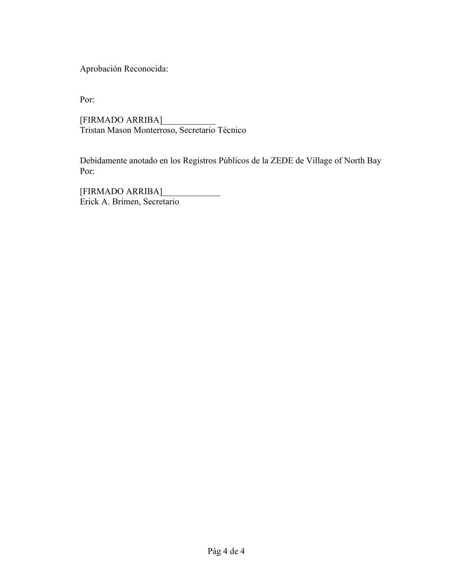Aprobación Reconocida:

Por:

 [FIRMADO ARRIBA]\_\_\_\_\_\_\_\_\_\_\_\_ Tristan Mason Monterroso, Secretario Técnico

 Debidamente anotado en los Registros Públicos de la ZEDE de Village of North Bay Por:

 [FIRMADO ARRIBA]\_\_\_\_\_\_\_\_\_\_\_\_\_ Erick A. Brimen, Secretario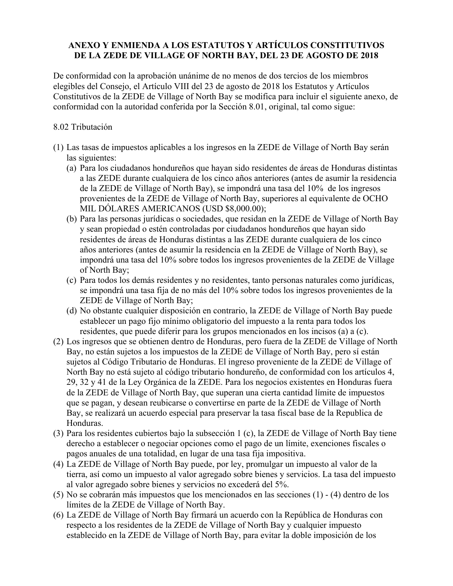#### **ANEXO Y ENMIENDA A LOS ESTATUTOS Y ARTÍCULOS CONSTITUTIVOS DE LA ZEDE DE VILLAGE OF NORTH BAY, DEL 23 DE AGOSTO DE 2018**

De conformidad con la aprobación unánime de no menos de dos tercios de los miembros elegibles del Consejo, el Artículo VIII del 23 de agosto de 2018 los Estatutos y Artículos Constitutivos de la ZEDE de Village of North Bay se modifica para incluir el siguiente anexo, de conformidad con la autoridad conferida por la Sección 8.01, original, tal como sigue:

#### 8.02 Tributación

- (1) Las tasas de impuestos aplicables a los ingresos en la ZEDE de Village of North Bay serán las siguientes:
	- (a) Para los ciudadanos hondureños que hayan sido residentes de áreas de Honduras distintas a las ZEDE durante cualquiera de los cinco años anteriores (antes de asumir la residencia de la ZEDE de Village of North Bay), se impondrá una tasa del 10% de los ingresos provenientes de la ZEDE de Village of North Bay, superiores al equivalente de OCHO MIL DÓLARES AMERICANOS (USD \$8,000.00);
	- (b) Para las personas jurídicas o sociedades, que residan en la ZEDE de Village of North Bay y sean propiedad o estén controladas por ciudadanos hondureños que hayan sido residentes de áreas de Honduras distintas a las ZEDE durante cualquiera de los cinco años anteriores (antes de asumir la residencia en la ZEDE de Village of North Bay), se impondrá una tasa del 10% sobre todos los ingresos provenientes de la ZEDE de Village of North Bay;
	- (c) Para todos los demás residentes y no residentes, tanto personas naturales como jurídicas, se impondrá una tasa fija de no más del 10% sobre todos los ingresos provenientes de la ZEDE de Village of North Bay;
	- (d) No obstante cualquier disposición en contrario, la ZEDE de Village of North Bay puede establecer un pago fijo mínimo obligatorio del impuesto a la renta para todos los residentes, que puede diferir para los grupos mencionados en los incisos (a) a (c).
- (2) Los ingresos que se obtienen dentro de Honduras, pero fuera de la ZEDE de Village of North Bay, no están sujetos a los impuestos de la ZEDE de Village of North Bay, pero sí están sujetos al Código Tributario de Honduras. El ingreso proveniente de la ZEDE de Village of North Bay no está sujeto al código tributario hondureño, de conformidad con los artículos 4, 29, 32 y 41 de la Ley Orgánica de la ZEDE. Para los negocios existentes en Honduras fuera de la ZEDE de Village of North Bay, que superan una cierta cantidad límite de impuestos que se pagan, y desean reubicarse o convertirse en parte de la ZEDE de Village of North Bay, se realizará un acuerdo especial para preservar la tasa fiscal base de la Republica de Honduras.
- (3) Para los residentes cubiertos bajo la subsección 1 (c), la ZEDE de Village of North Bay tiene derecho a establecer o negociar opciones como el pago de un límite, exenciones fiscales o pagos anuales de una totalidad, en lugar de una tasa fija impositiva.
- (4) La ZEDE de Village of North Bay puede, por ley, promulgar un impuesto al valor de la tierra, así como un impuesto al valor agregado sobre bienes y servicios. La tasa del impuesto al valor agregado sobre bienes y servicios no excederá del 5%.
- (5) No se cobrarán más impuestos que los mencionados en las secciones (1) (4) dentro de los límites de la ZEDE de Village of North Bay.
- (6) La ZEDE de Village of North Bay firmará un acuerdo con la República de Honduras con respecto a los residentes de la ZEDE de Village of North Bay y cualquier impuesto establecido en la ZEDE de Village of North Bay, para evitar la doble imposición de los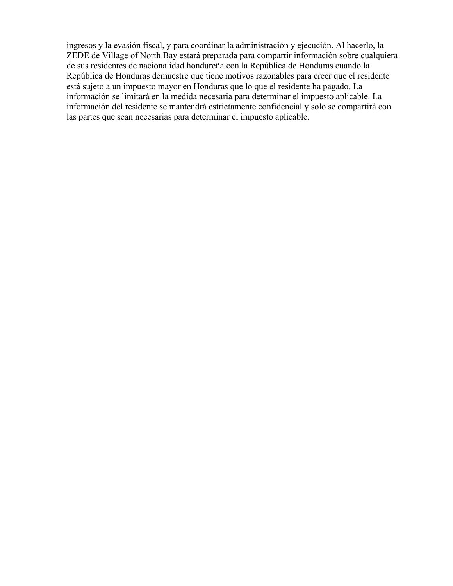ingresos y la evasión fiscal, y para coordinar la administración y ejecución. Al hacerlo, la ZEDE de Village of North Bay estará preparada para compartir información sobre cualquiera de sus residentes de nacionalidad hondureña con la República de Honduras cuando la República de Honduras demuestre que tiene motivos razonables para creer que el residente está sujeto a un impuesto mayor en Honduras que lo que el residente ha pagado. La información se limitará en la medida necesaria para determinar el impuesto aplicable. La información del residente se mantendrá estrictamente confidencial y solo se compartirá con las partes que sean necesarias para determinar el impuesto aplicable.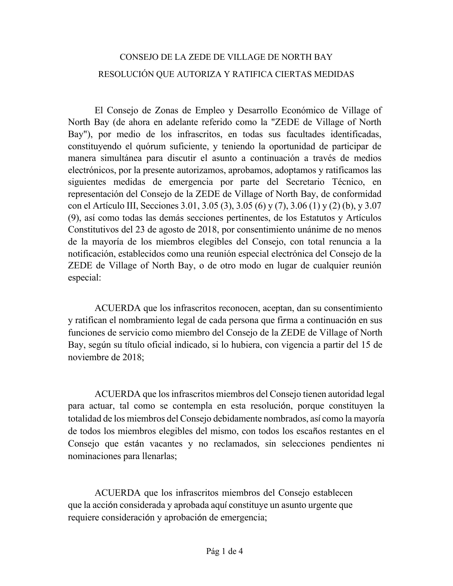## CONSEJO DE LA ZEDE DE VILLAGE DE NORTH BAY RESOLUCIÓN QUE AUTORIZA Y RATIFICA CIERTAS MEDIDAS

El Consejo de Zonas de Empleo y Desarrollo Económico de Village of North Bay (de ahora en adelante referido como la "ZEDE de Village of North Bay"), por medio de los infrascritos, en todas sus facultades identificadas, constituyendo el quórum suficiente, y teniendo la oportunidad de participar de manera simultánea para discutir el asunto a continuación a través de medios electrónicos, por la presente autorizamos, aprobamos, adoptamos y ratificamos las siguientes medidas de emergencia por parte del Secretario Técnico, en representación del Consejo de la ZEDE de Village of North Bay, de conformidad con el Artículo III, Secciones 3.01, 3.05 (3), 3.05 (6) y (7), 3.06 (1) y (2) (b), y 3.07 (9), así como todas las demás secciones pertinentes, de los Estatutos y Artículos Constitutivos del 23 de agosto de 2018, por consentimiento unánime de no menos de la mayoría de los miembros elegibles del Consejo, con total renuncia a la notificación, establecidos como una reunión especial electrónica del Consejo de la ZEDE de Village of North Bay, o de otro modo en lugar de cualquier reunión especial:

ACUERDA que los infrascritos reconocen, aceptan, dan su consentimiento y ratifican el nombramiento legal de cada persona que firma a continuación en sus funciones de servicio como miembro del Consejo de la ZEDE de Village of North Bay, según su título oficial indicado, si lo hubiera, con vigencia a partir del 15 de noviembre de 2018;

ACUERDA que los infrascritos miembros del Consejo tienen autoridad legal para actuar, tal como se contempla en esta resolución, porque constituyen la totalidad de los miembros del Consejo debidamente nombrados, así como la mayoría de todos los miembros elegibles del mismo, con todos los escaños restantes en el Consejo que están vacantes y no reclamados, sin selecciones pendientes ni nominaciones para llenarlas;

ACUERDA que los infrascritos miembros del Consejo establecen que la acción considerada y aprobada aquí constituye un asunto urgente que requiere consideración y aprobación de emergencia;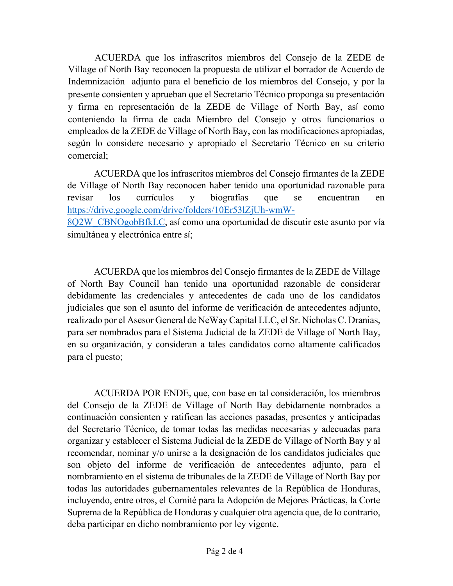ACUERDA que los infrascritos miembros del Consejo de la ZEDE de Village of North Bay reconocen la propuesta de utilizar el borrador de Acuerdo de Indemnización adjunto para el beneficio de los miembros del Consejo, y por la presente consienten y aprueban que el Secretario Técnico proponga su presentación y firma en representación de la ZEDE de Village of North Bay, así como conteniendo la firma de cada Miembro del Consejo y otros funcionarios o empleados de la ZEDE de Village of North Bay, con las modificaciones apropiadas, según lo considere necesario y apropiado el Secretario Técnico en su criterio comercial;

ACUERDA que los infrascritos miembros del Consejo firmantes de la ZEDE de Village of North Bay reconocen haber tenido una oportunidad razonable para revisar los currículos y biografías que se encuentran en https://drive.google.com/drive/folders/10Er53lZjUh-wmW-8Q2W\_CBNOgobBfkLC, así como una oportunidad de discutir este asunto por vía simultánea y electrónica entre sí;

ACUERDA que los miembros del Consejo firmantes de la ZEDE de Village of North Bay Council han tenido una oportunidad razonable de considerar debidamente las credenciales y antecedentes de cada uno de los candidatos judiciales que son el asunto del informe de verificación de antecedentes adjunto, realizado por el Asesor General de NeWay Capital LLC, el Sr. Nicholas C. Dranias, para ser nombrados para el Sistema Judicial de la ZEDE de Village of North Bay, en su organización, y consideran a tales candidatos como altamente calificados para el puesto;

ACUERDA POR ENDE, que, con base en tal consideración, los miembros del Consejo de la ZEDE de Village of North Bay debidamente nombrados a continuación consienten y ratifican las acciones pasadas, presentes y anticipadas del Secretario Técnico, de tomar todas las medidas necesarias y adecuadas para organizar y establecer el Sistema Judicial de la ZEDE de Village of North Bay y al recomendar, nominar y/o unirse a la designación de los candidatos judiciales que son objeto del informe de verificación de antecedentes adjunto, para el nombramiento en el sistema de tribunales de la ZEDE de Village of North Bay por todas las autoridades gubernamentales relevantes de la República de Honduras, incluyendo, entre otros, el Comité para la Adopción de Mejores Prácticas, la Corte Suprema de la República de Honduras y cualquier otra agencia que, de lo contrario, deba participar en dicho nombramiento por ley vigente.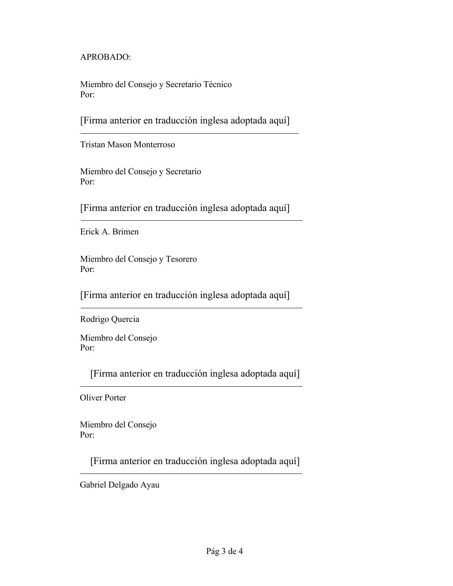APROBADO:

Miembro del Consejo y Secretario Técnico Por:

[Firma anterior en traducción inglesa adoptada aquí]

Tristan Mason Monterroso

Miembro del Consejo y Secretario Por:

[Firma anterior en traducción inglesa adoptada aquí]

Erick A. Brimen

Miembro del Consejo y Tesorero Por:

[Firma anterior en traducción inglesa adoptada aquí]

Rodrigo Quercia

Miembro del Consejo Por:

[Firma anterior en traducción inglesa adoptada aquí]

Oliver Porter

Miembro del Consejo Por:

[Firma anterior en traducción inglesa adoptada aquí]

Gabriel Delgado Ayau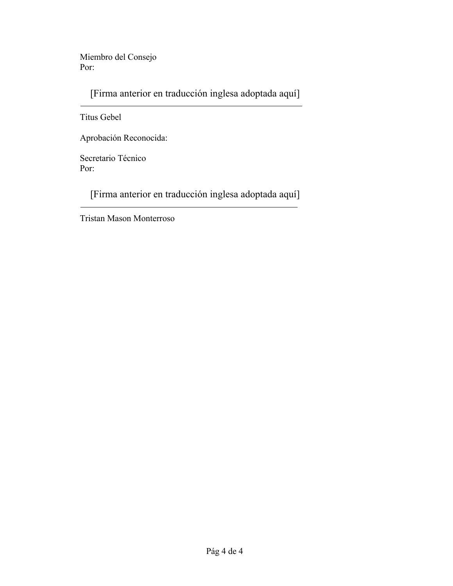Miembro del Consejo Por:

[Firma anterior en traducción inglesa adoptada aquí]

Titus Gebel

Aprobación Reconocida:

Secretario Técnico Por:

[Firma anterior en traducción inglesa adoptada aquí]

Tristan Mason Monterroso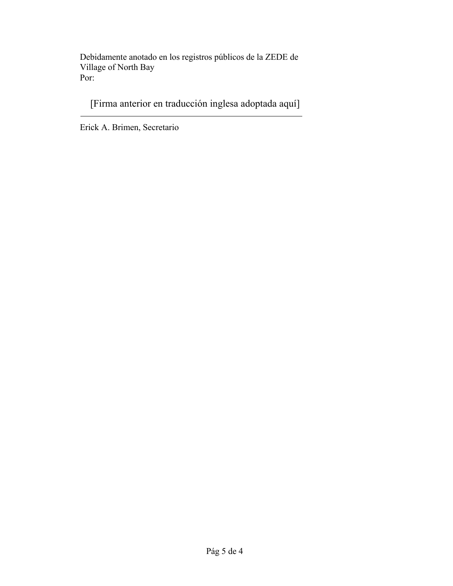Debidamente anotado en los registros públicos de la ZEDE de Village of North Bay Por:

[Firma anterior en traducción inglesa adoptada aquí]

Erick A. Brimen, Secretario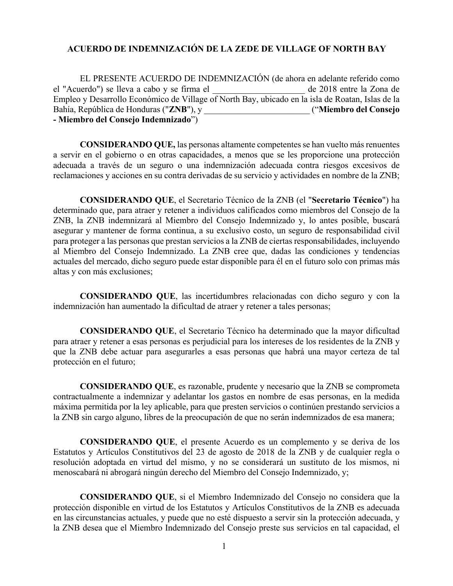#### **ACUERDO DE INDEMNIZACIÓN DE LA ZEDE DE VILLAGE OF NORTH BAY**

EL PRESENTE ACUERDO DE INDEMNIZACIÓN (de ahora en adelante referido como el "Acuerdo") se lleva a cabo y se firma el \_\_\_\_\_\_\_\_\_\_\_\_\_\_\_\_\_\_\_\_\_ de 2018 entre la Zona de Empleo y Desarrollo Económico de Village of North Bay, ubicado en la isla de Roatan, Islas de la Bahía, República de Honduras ("**ZNB**"), y \_\_\_\_\_\_\_\_\_\_\_\_\_\_\_\_\_\_\_\_\_\_\_\_ ("**Miembro del Consejo - Miembro del Consejo Indemnizado**")

**CONSIDERANDO QUE,** las personas altamente competentes se han vuelto más renuentes a servir en el gobierno o en otras capacidades, a menos que se les proporcione una protección adecuada a través de un seguro o una indemnización adecuada contra riesgos excesivos de reclamaciones y acciones en su contra derivadas de su servicio y actividades en nombre de la ZNB;

**CONSIDERANDO QUE**, el Secretario Técnico de la ZNB (el "**Secretario Técnico**") ha determinado que, para atraer y retener a individuos calificados como miembros del Consejo de la ZNB, la ZNB indemnizará al Miembro del Consejo Indemnizado y, lo antes posible, buscará asegurar y mantener de forma continua, a su exclusivo costo, un seguro de responsabilidad civil para proteger a las personas que prestan servicios a la ZNB de ciertas responsabilidades, incluyendo al Miembro del Consejo Indemnizado. La ZNB cree que, dadas las condiciones y tendencias actuales del mercado, dicho seguro puede estar disponible para él en el futuro solo con primas más altas y con más exclusiones;

**CONSIDERANDO QUE**, las incertidumbres relacionadas con dicho seguro y con la indemnización han aumentado la dificultad de atraer y retener a tales personas;

**CONSIDERANDO QUE**, el Secretario Técnico ha determinado que la mayor dificultad para atraer y retener a esas personas es perjudicial para los intereses de los residentes de la ZNB y que la ZNB debe actuar para asegurarles a esas personas que habrá una mayor certeza de tal protección en el futuro;

**CONSIDERANDO QUE**, es razonable, prudente y necesario que la ZNB se comprometa contractualmente a indemnizar y adelantar los gastos en nombre de esas personas, en la medida máxima permitida por la ley aplicable, para que presten servicios o continúen prestando servicios a la ZNB sin cargo alguno, libres de la preocupación de que no serán indemnizados de esa manera;

**CONSIDERANDO QUE**, el presente Acuerdo es un complemento y se deriva de los Estatutos y Artículos Constitutivos del 23 de agosto de 2018 de la ZNB y de cualquier regla o resolución adoptada en virtud del mismo, y no se considerará un sustituto de los mismos, ni menoscabará ni abrogará ningún derecho del Miembro del Consejo Indemnizado, y;

**CONSIDERANDO QUE**, si el Miembro Indemnizado del Consejo no considera que la protección disponible en virtud de los Estatutos y Artículos Constitutivos de la ZNB es adecuada en las circunstancias actuales, y puede que no esté dispuesto a servir sin la protección adecuada, y la ZNB desea que el Miembro Indemnizado del Consejo preste sus servicios en tal capacidad, el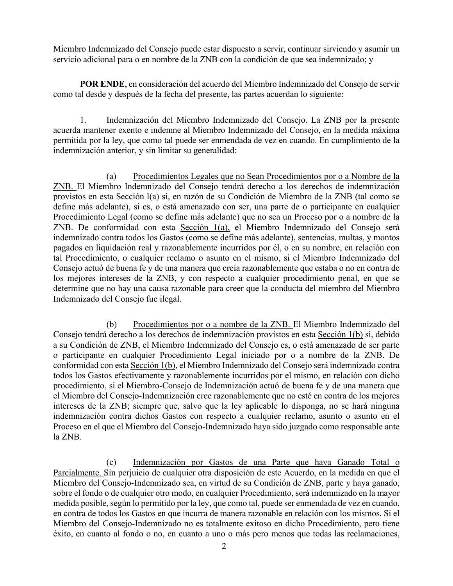Miembro Indemnizado del Consejo puede estar dispuesto a servir, continuar sirviendo y asumir un servicio adicional para o en nombre de la ZNB con la condición de que sea indemnizado; y

**POR ENDE**, en consideración del acuerdo del Miembro Indemnizado del Consejo de servir como tal desde y después de la fecha del presente, las partes acuerdan lo siguiente:

1. Indemnización del Miembro Indemnizado del Consejo. La ZNB por la presente acuerda mantener exento e indemne al Miembro Indemnizado del Consejo, en la medida máxima permitida por la ley, que como tal puede ser enmendada de vez en cuando. En cumplimiento de la indemnización anterior, y sin limitar su generalidad:

(a) Procedimientos Legales que no Sean Procedimientos por o a Nombre de la ZNB. El Miembro Indemnizado del Consejo tendrá derecho a los derechos de indemnización provistos en esta Sección l(a) si, en razón de su Condición de Miembro de la ZNB (tal como se define más adelante), si es, o está amenazado con ser, una parte de o participante en cualquier Procedimiento Legal (como se define más adelante) que no sea un Proceso por o a nombre de la ZNB. De conformidad con esta Sección 1(a), el Miembro Indemnizado del Consejo será indemnizado contra todos los Gastos (como se define más adelante), sentencias, multas, y montos pagados en liquidación real y razonablemente incurridos por él, o en su nombre, en relación con tal Procedimiento, o cualquier reclamo o asunto en el mismo, si el Miembro Indemnizado del Consejo actuó de buena fe y de una manera que creía razonablemente que estaba o no en contra de los mejores intereses de la ZNB, y con respecto a cualquier procedimiento penal, en que se determine que no hay una causa razonable para creer que la conducta del miembro del Miembro Indemnizado del Consejo fue ilegal.

(b) Procedimientos por o a nombre de la ZNB. El Miembro Indemnizado del Consejo tendrá derecho a los derechos de indemnización provistos en esta Sección 1(b) si, debido a su Condición de ZNB, el Miembro Indemnizado del Consejo es, o está amenazado de ser parte o participante en cualquier Procedimiento Legal iniciado por o a nombre de la ZNB. De conformidad con esta Sección 1(b), el Miembro Indemnizado del Consejo será indemnizado contra todos los Gastos efectivamente y razonablemente incurridos por el mismo, en relación con dicho procedimiento, si el Miembro-Consejo de Indemnización actuó de buena fe y de una manera que el Miembro del Consejo-Indemnización cree razonablemente que no esté en contra de los mejores intereses de la ZNB; siempre que, salvo que la ley aplicable lo disponga, no se hará ninguna indemnización contra dichos Gastos con respecto a cualquier reclamo, asunto o asunto en el Proceso en el que el Miembro del Consejo-Indemnizado haya sido juzgado como responsable ante la ZNB.

(c) Indemnización por Gastos de una Parte que haya Ganado Total o Parcialmente. Sin perjuicio de cualquier otra disposición de este Acuerdo, en la medida en que el Miembro del Consejo-Indemnizado sea, en virtud de su Condición de ZNB, parte y haya ganado, sobre el fondo o de cualquier otro modo, en cualquier Procedimiento, será indemnizado en la mayor medida posible, según lo permitido por la ley, que como tal, puede ser enmendada de vez en cuando, en contra de todos los Gastos en que incurra de manera razonable en relación con los mismos. Si el Miembro del Consejo-Indemnizado no es totalmente exitoso en dicho Procedimiento, pero tiene éxito, en cuanto al fondo o no, en cuanto a uno o más pero menos que todas las reclamaciones,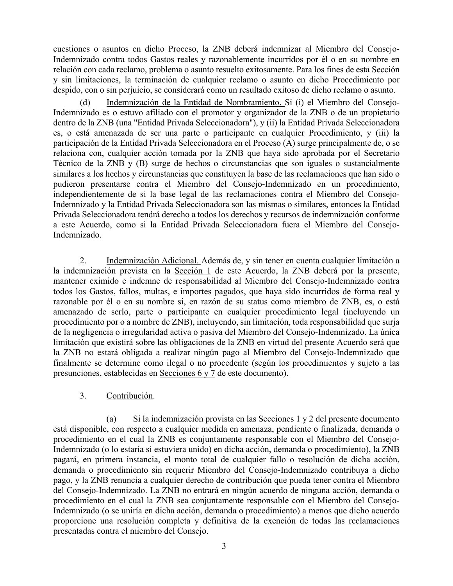cuestiones o asuntos en dicho Proceso, la ZNB deberá indemnizar al Miembro del Consejo-Indemnizado contra todos Gastos reales y razonablemente incurridos por él o en su nombre en relación con cada reclamo, problema o asunto resuelto exitosamente. Para los fines de esta Sección y sin limitaciones, la terminación de cualquier reclamo o asunto en dicho Procedimiento por despido, con o sin perjuicio, se considerará como un resultado exitoso de dicho reclamo o asunto.

(d) Indemnización de la Entidad de Nombramiento. Si (i) el Miembro del Consejo-Indemnizado es o estuvo afiliado con el promotor y organizador de la ZNB o de un propietario dentro de la ZNB (una "Entidad Privada Seleccionadora"), y (ii) la Entidad Privada Seleccionadora es, o está amenazada de ser una parte o participante en cualquier Procedimiento, y (iii) la participación de la Entidad Privada Seleccionadora en el Proceso (A) surge principalmente de, o se relaciona con, cualquier acción tomada por la ZNB que haya sido aprobada por el Secretario Técnico de la ZNB y (B) surge de hechos o circunstancias que son iguales o sustancialmente similares a los hechos y circunstancias que constituyen la base de las reclamaciones que han sido o pudieron presentarse contra el Miembro del Consejo-Indemnizado en un procedimiento, independientemente de si la base legal de las reclamaciones contra el Miembro del Consejo-Indemnizado y la Entidad Privada Seleccionadora son las mismas o similares, entonces la Entidad Privada Seleccionadora tendrá derecho a todos los derechos y recursos de indemnización conforme a este Acuerdo, como si la Entidad Privada Seleccionadora fuera el Miembro del Consejo-Indemnizado.

2. Indemnización Adicional. Además de, y sin tener en cuenta cualquier limitación a la indemnización prevista en la Sección 1 de este Acuerdo, la ZNB deberá por la presente, mantener eximido e indemne de responsabilidad al Miembro del Consejo-Indemnizado contra todos los Gastos, fallos, multas, e importes pagados, que haya sido incurridos de forma real y razonable por él o en su nombre si, en razón de su status como miembro de ZNB, es, o está amenazado de serlo, parte o participante en cualquier procedimiento legal (incluyendo un procedimiento por o a nombre de ZNB), incluyendo, sin limitación, toda responsabilidad que surja de la negligencia o irregularidad activa o pasiva del Miembro del Consejo-Indemnizado. La única limitación que existirá sobre las obligaciones de la ZNB en virtud del presente Acuerdo será que la ZNB no estará obligada a realizar ningún pago al Miembro del Consejo-Indemnizado que finalmente se determine como ilegal o no procedente (según los procedimientos y sujeto a las presunciones, establecidas en Secciones 6 y 7 de este documento).

#### 3. Contribución.

(a) Si la indemnización provista en las Secciones 1 y 2 del presente documento está disponible, con respecto a cualquier medida en amenaza, pendiente o finalizada, demanda o procedimiento en el cual la ZNB es conjuntamente responsable con el Miembro del Consejo-Indemnizado (o lo estaría si estuviera unido) en dicha acción, demanda o procedimiento), la ZNB pagará, en primera instancia, el monto total de cualquier fallo o resolución de dicha acción, demanda o procedimiento sin requerir Miembro del Consejo-Indemnizado contribuya a dicho pago, y la ZNB renuncia a cualquier derecho de contribución que pueda tener contra el Miembro del Consejo-Indemnizado. La ZNB no entrará en ningún acuerdo de ninguna acción, demanda o procedimiento en el cual la ZNB sea conjuntamente responsable con el Miembro del Consejo-Indemnizado (o se uniría en dicha acción, demanda o procedimiento) a menos que dicho acuerdo proporcione una resolución completa y definitiva de la exención de todas las reclamaciones presentadas contra el miembro del Consejo.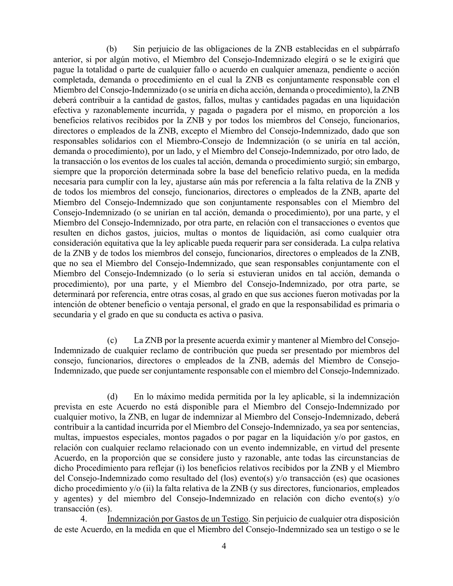(b) Sin perjuicio de las obligaciones de la ZNB establecidas en el subpárrafo anterior, si por algún motivo, el Miembro del Consejo-Indemnizado elegirá o se le exigirá que pague la totalidad o parte de cualquier fallo o acuerdo en cualquier amenaza, pendiente o acción completada, demanda o procedimiento en el cual la ZNB es conjuntamente responsable con el Miembro del Consejo-Indemnizado (o se uniría en dicha acción, demanda o procedimiento), la ZNB deberá contribuir a la cantidad de gastos, fallos, multas y cantidades pagadas en una liquidación efectiva y razonablemente incurrida, y pagada o pagadera por el mismo, en proporción a los beneficios relativos recibidos por la ZNB y por todos los miembros del Consejo, funcionarios, directores o empleados de la ZNB, excepto el Miembro del Consejo-Indemnizado, dado que son responsables solidarios con el Miembro-Consejo de Indemnización (o se uniría en tal acción, demanda o procedimiento), por un lado, y el Miembro del Consejo-Indemnizado, por otro lado, de la transacción o los eventos de los cuales tal acción, demanda o procedimiento surgió; sin embargo, siempre que la proporción determinada sobre la base del beneficio relativo pueda, en la medida necesaria para cumplir con la ley, ajustarse aún más por referencia a la falta relativa de la ZNB y de todos los miembros del consejo, funcionarios, directores o empleados de la ZNB, aparte del Miembro del Consejo-Indemnizado que son conjuntamente responsables con el Miembro del Consejo-Indemnizado (o se unirían en tal acción, demanda o procedimiento), por una parte, y el Miembro del Consejo-Indemnizado, por otra parte, en relación con el transacciones o eventos que resulten en dichos gastos, juicios, multas o montos de liquidación, así como cualquier otra consideración equitativa que la ley aplicable pueda requerir para ser considerada. La culpa relativa de la ZNB y de todos los miembros del consejo, funcionarios, directores o empleados de la ZNB, que no sea el Miembro del Consejo-Indemnizado, que sean responsables conjuntamente con el Miembro del Consejo-Indemnizado (o lo sería si estuvieran unidos en tal acción, demanda o procedimiento), por una parte, y el Miembro del Consejo-Indemnizado, por otra parte, se determinará por referencia, entre otras cosas, al grado en que sus acciones fueron motivadas por la intención de obtener beneficio o ventaja personal, el grado en que la responsabilidad es primaria o secundaria y el grado en que su conducta es activa o pasiva.

(c) La ZNB por la presente acuerda eximir y mantener al Miembro del Consejo-Indemnizado de cualquier reclamo de contribución que pueda ser presentado por miembros del consejo, funcionarios, directores o empleados de la ZNB, además del Miembro de Consejo-Indemnizado, que puede ser conjuntamente responsable con el miembro del Consejo-Indemnizado.

(d) En lo máximo medida permitida por la ley aplicable, si la indemnización prevista en este Acuerdo no está disponible para el Miembro del Consejo-Indemnizado por cualquier motivo, la ZNB, en lugar de indemnizar al Miembro del Consejo-Indemnizado, deberá contribuir a la cantidad incurrida por el Miembro del Consejo-Indemnizado, ya sea por sentencias, multas, impuestos especiales, montos pagados o por pagar en la liquidación y/o por gastos, en relación con cualquier reclamo relacionado con un evento indemnizable, en virtud del presente Acuerdo, en la proporción que se considere justo y razonable, ante todas las circunstancias de dicho Procedimiento para reflejar (i) los beneficios relativos recibidos por la ZNB y el Miembro del Consejo-Indemnizado como resultado del (los) evento(s) y/o transacción (es) que ocasiones dicho procedimiento y/o (ii) la falta relativa de la ZNB (y sus directores, funcionarios, empleados y agentes) y del miembro del Consejo-Indemnizado en relación con dicho evento(s) y/o transacción (es).

4. Indemnización por Gastos de un Testigo. Sin perjuicio de cualquier otra disposición de este Acuerdo, en la medida en que el Miembro del Consejo-Indemnizado sea un testigo o se le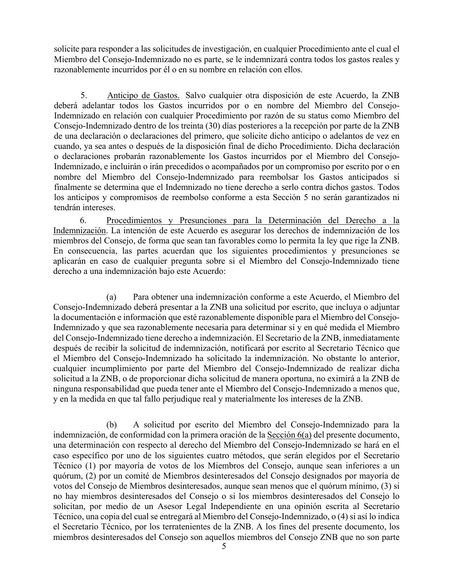solicite para responder a las solicitudes de investigación, en cualquier Procedimiento ante el cual el Miembro del Consejo-Indemnizado no es parte, se le indemnizará contra todos los gastos reales y razonablemente incurridos por él o en su nombre en relación con ellos.

5. Anticipo de Gastos. Salvo cualquier otra disposición de este Acuerdo, la ZNB deberá adelantar todos los Gastos incurridos por o en nombre del Miembro del Consejo-Indemnizado en relación con cualquier Procedimiento por razón de su status como Miembro del Consejo-Indemnizado dentro de los treinta (30) días posteriores a la recepción por parte de la ZNB de una declaración o declaraciones del primero, que solicite dicho anticipo o adelantos de vez en cuando, ya sea antes o después de la disposición final de dicho Procedimiento. Dicha declaración o declaraciones probarán razonablemente los Gastos incurridos por el Miembro del Consejo-Indemnizado, e incluirán o irán precedidos o acompañados por un compromiso por escrito por o en nombre del Miembro del Consejo-Indemnizado para reembolsar los Gastos anticipados si finalmente se determina que el Indemnizado no tiene derecho a serlo contra dichos gastos. Todos los anticipos y compromisos de reembolso conforme a esta Sección 5 no serán garantizados ni tendrán intereses.

6. Procedimientos y Presunciones para la Determinación del Derecho a la Indemnización. La intención de este Acuerdo es asegurar los derechos de indemnización de los miembros del Consejo, de forma que sean tan favorables como lo permita la ley que rige la ZNB. En consecuencia, las partes acuerdan que los siguientes procedimientos y presunciones se aplicarán en caso de cualquier pregunta sobre si el Miembro del Consejo-Indemnizado tiene derecho a una indemnización bajo este Acuerdo:

(a) Para obtener una indemnización conforme a este Acuerdo, el Miembro del Consejo-Indemnizado deberá presentar a la ZNB una solicitud por escrito, que incluya o adjuntar la documentación e información que esté razonablemente disponible para el Miembro del Consejo-Indemnizado y que sea razonablemente necesaria para determinar si y en qué medida el Miembro del Consejo-Indemnizado tiene derecho a indemnización. El Secretario de la ZNB, inmediatamente después de recibir la solicitud de indemnización, notificará por escrito al Secretario Técnico que el Miembro del Consejo-Indemnizado ha solicitado la indemnización. No obstante lo anterior, cualquier incumplimiento por parte del Miembro del Consejo-Indemnizado de realizar dicha solicitud a la ZNB, o de proporcionar dicha solicitud de manera oportuna, no eximirá a la ZNB de ninguna responsabilidad que pueda tener ante el Miembro del Consejo-Indemnizado a menos que, y en la medida en que tal fallo perjudique real y materialmente los intereses de la ZNB.

(b) A solicitud por escrito del Miembro del Consejo-Indemnizado para la indemnización, de conformidad con la primera oración de la Sección 6(a) del presente documento, una determinación con respecto al derecho del Miembro del Consejo-Indemnizado se hará en el caso específico por uno de los siguientes cuatro métodos, que serán elegidos por el Secretario Técnico (1) por mayoría de votos de los Miembros del Consejo, aunque sean inferiores a un quórum, (2) por un comité de Miembros desinteresados del Consejo designados por mayoría de votos del Consejo de Miembros desinteresados, aunque sean menos que el quórum mínimo, (3) si no hay miembros desinteresados del Consejo o si los miembros desinteresados del Consejo lo solicitan, por medio de un Asesor Legal Independiente en una opinión escrita al Secretario Técnico, una copia del cual se entregará al Miembro del Consejo-Indemnizado, o (4) si así lo indica el Secretario Técnico, por los terratenientes de la ZNB. A los fines del presente documento, los miembros desinteresados del Consejo son aquellos miembros del Consejo ZNB que no son parte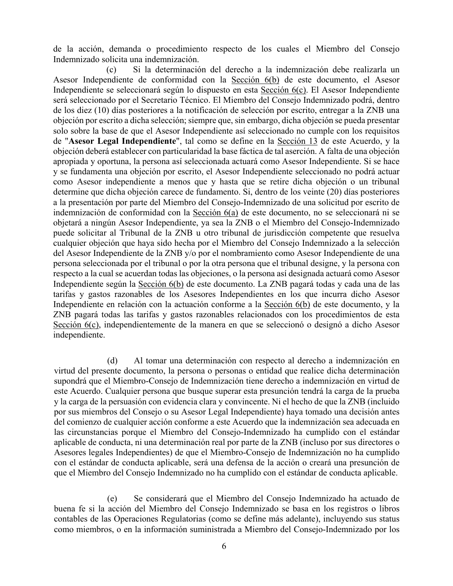de la acción, demanda o procedimiento respecto de los cuales el Miembro del Consejo Indemnizado solicita una indemnización.

(c) Si la determinación del derecho a la indemnización debe realizarla un Asesor Independiente de conformidad con la Sección 6(b) de este documento, el Asesor Independiente se seleccionará según lo dispuesto en esta Sección 6(c). El Asesor Independiente será seleccionado por el Secretario Técnico. El Miembro del Consejo Indemnizado podrá, dentro de los diez (10) días posteriores a la notificación de selección por escrito, entregar a la ZNB una objeción por escrito a dicha selección; siempre que, sin embargo, dicha objeción se pueda presentar solo sobre la base de que el Asesor Independiente así seleccionado no cumple con los requisitos de "**Asesor Legal Independiente**", tal como se define en la Sección 13 de este Acuerdo, y la objeción deberá establecer con particularidad la base fáctica de tal aserción. A falta de una objeción apropiada y oportuna, la persona así seleccionada actuará como Asesor Independiente. Si se hace y se fundamenta una objeción por escrito, el Asesor Independiente seleccionado no podrá actuar como Asesor independiente a menos que y hasta que se retire dicha objeción o un tribunal determine que dicha objeción carece de fundamento. Si, dentro de los veinte (20) días posteriores a la presentación por parte del Miembro del Consejo-Indemnizado de una solicitud por escrito de indemnización de conformidad con la Sección 6(a) de este documento, no se seleccionará ni se objetará a ningún Asesor Independiente, ya sea la ZNB o el Miembro del Consejo-Indemnizado puede solicitar al Tribunal de la ZNB u otro tribunal de jurisdicción competente que resuelva cualquier objeción que haya sido hecha por el Miembro del Consejo Indemnizado a la selección del Asesor Independiente de la ZNB y/o por el nombramiento como Asesor Independiente de una persona seleccionada por el tribunal o por la otra persona que el tribunal designe, y la persona con respecto a la cual se acuerdan todas las objeciones, o la persona así designada actuará como Asesor Independiente según la Sección 6(b) de este documento. La ZNB pagará todas y cada una de las tarifas y gastos razonables de los Asesores Independientes en los que incurra dicho Asesor Independiente en relación con la actuación conforme a la Sección 6(b) de este documento, y la ZNB pagará todas las tarifas y gastos razonables relacionados con los procedimientos de esta Sección 6(c), independientemente de la manera en que se seleccionó o designó a dicho Asesor independiente.

(d) Al tomar una determinación con respecto al derecho a indemnización en virtud del presente documento, la persona o personas o entidad que realice dicha determinación supondrá que el Miembro-Consejo de Indemnización tiene derecho a indemnización en virtud de este Acuerdo. Cualquier persona que busque superar esta presunción tendrá la carga de la prueba y la carga de la persuasión con evidencia clara y convincente. Ni el hecho de que la ZNB (incluido por sus miembros del Consejo o su Asesor Legal Independiente) haya tomado una decisión antes del comienzo de cualquier acción conforme a este Acuerdo que la indemnización sea adecuada en las circunstancias porque el Miembro del Consejo-Indemnizado ha cumplido con el estándar aplicable de conducta, ni una determinación real por parte de la ZNB (incluso por sus directores o Asesores legales Independientes) de que el Miembro-Consejo de Indemnización no ha cumplido con el estándar de conducta aplicable, será una defensa de la acción o creará una presunción de que el Miembro del Consejo Indemnizado no ha cumplido con el estándar de conducta aplicable.

(e) Se considerará que el Miembro del Consejo Indemnizado ha actuado de buena fe si la acción del Miembro del Consejo Indemnizado se basa en los registros o libros contables de las Operaciones Regulatorias (como se define más adelante), incluyendo sus status como miembros, o en la información suministrada a Miembro del Consejo-Indemnizado por los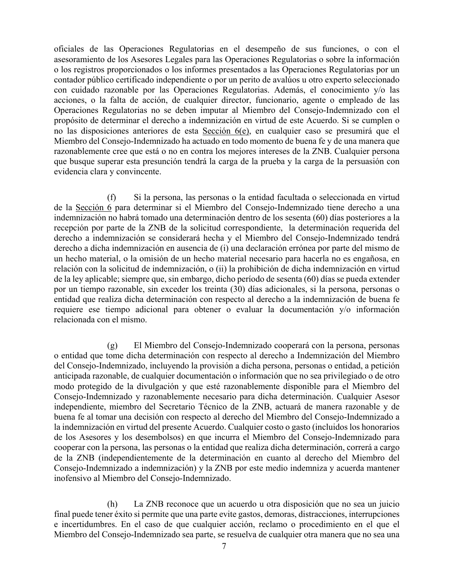oficiales de las Operaciones Regulatorias en el desempeño de sus funciones, o con el asesoramiento de los Asesores Legales para las Operaciones Regulatorias o sobre la información o los registros proporcionados o los informes presentados a las Operaciones Regulatorias por un contador público certificado independiente o por un perito de avalúos u otro experto seleccionado con cuidado razonable por las Operaciones Regulatorias. Además, el conocimiento y/o las acciones, o la falta de acción, de cualquier director, funcionario, agente o empleado de las Operaciones Regulatorias no se deben imputar al Miembro del Consejo-Indemnizado con el propósito de determinar el derecho a indemnización en virtud de este Acuerdo. Si se cumplen o no las disposiciones anteriores de esta Sección 6(e), en cualquier caso se presumirá que el Miembro del Consejo-Indemnizado ha actuado en todo momento de buena fe y de una manera que razonablemente cree que está o no en contra los mejores intereses de la ZNB. Cualquier persona que busque superar esta presunción tendrá la carga de la prueba y la carga de la persuasión con evidencia clara y convincente.

(f) Si la persona, las personas o la entidad facultada o seleccionada en virtud de la Sección 6 para determinar si el Miembro del Consejo-Indemnizado tiene derecho a una indemnización no habrá tomado una determinación dentro de los sesenta (60) días posteriores a la recepción por parte de la ZNB de la solicitud correspondiente, la determinación requerida del derecho a indemnización se considerará hecha y el Miembro del Consejo-Indemnizado tendrá derecho a dicha indemnización en ausencia de (i) una declaración errónea por parte del mismo de un hecho material, o la omisión de un hecho material necesario para hacerla no es engañosa, en relación con la solicitud de indemnización, o (ii) la prohibición de dicha indemnización en virtud de la ley aplicable; siempre que, sin embargo, dicho período de sesenta (60) días se pueda extender por un tiempo razonable, sin exceder los treinta (30) días adicionales, si la persona, personas o entidad que realiza dicha determinación con respecto al derecho a la indemnización de buena fe requiere ese tiempo adicional para obtener o evaluar la documentación y/o información relacionada con el mismo.

(g) El Miembro del Consejo-Indemnizado cooperará con la persona, personas o entidad que tome dicha determinación con respecto al derecho a Indemnización del Miembro del Consejo-Indemnizado, incluyendo la provisión a dicha persona, personas o entidad, a petición anticipada razonable, de cualquier documentación o información que no sea privilegiado o de otro modo protegido de la divulgación y que esté razonablemente disponible para el Miembro del Consejo-Indemnizado y razonablemente necesario para dicha determinación. Cualquier Asesor independiente, miembro del Secretario Técnico de la ZNB, actuará de manera razonable y de buena fe al tomar una decisión con respecto al derecho del Miembro del Consejo-Indemnizado a la indemnización en virtud del presente Acuerdo. Cualquier costo o gasto (incluidos los honorarios de los Asesores y los desembolsos) en que incurra el Miembro del Consejo-Indemnizado para cooperar con la persona, las personas o la entidad que realiza dicha determinación, correrá a cargo de la ZNB (independientemente de la determinación en cuanto al derecho del Miembro del Consejo-Indemnizado a indemnización) y la ZNB por este medio indemniza y acuerda mantener inofensivo al Miembro del Consejo-Indemnizado.

(h) La ZNB reconoce que un acuerdo u otra disposición que no sea un juicio final puede tener éxito si permite que una parte evite gastos, demoras, distracciones, interrupciones e incertidumbres. En el caso de que cualquier acción, reclamo o procedimiento en el que el Miembro del Consejo-Indemnizado sea parte, se resuelva de cualquier otra manera que no sea una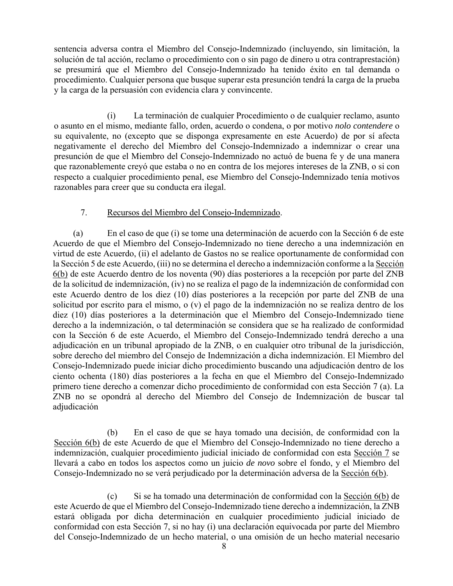sentencia adversa contra el Miembro del Consejo-Indemnizado (incluyendo, sin limitación, la solución de tal acción, reclamo o procedimiento con o sin pago de dinero u otra contraprestación) se presumirá que el Miembro del Consejo-Indemnizado ha tenido éxito en tal demanda o procedimiento. Cualquier persona que busque superar esta presunción tendrá la carga de la prueba y la carga de la persuasión con evidencia clara y convincente.

(i) La terminación de cualquier Procedimiento o de cualquier reclamo, asunto o asunto en el mismo, mediante fallo, orden, acuerdo o condena, o por motivo *nolo contendere* o su equivalente, no (excepto que se disponga expresamente en este Acuerdo) de por sí afecta negativamente el derecho del Miembro del Consejo-Indemnizado a indemnizar o crear una presunción de que el Miembro del Consejo-Indemnizado no actuó de buena fe y de una manera que razonablemente creyó que estaba o no en contra de los mejores intereses de la ZNB, o si con respecto a cualquier procedimiento penal, ese Miembro del Consejo-Indemnizado tenía motivos razonables para creer que su conducta era ilegal.

#### 7. Recursos del Miembro del Consejo-Indemnizado.

(a) En el caso de que (i) se tome una determinación de acuerdo con la Sección 6 de este Acuerdo de que el Miembro del Consejo-Indemnizado no tiene derecho a una indemnización en virtud de este Acuerdo, (ii) el adelanto de Gastos no se realice oportunamente de conformidad con la Sección 5 de este Acuerdo, (iii) no se determina el derecho a indemnización conforme a la Sección 6(b) de este Acuerdo dentro de los noventa (90) días posteriores a la recepción por parte del ZNB de la solicitud de indemnización, (iv) no se realiza el pago de la indemnización de conformidad con este Acuerdo dentro de los diez (10) días posteriores a la recepción por parte del ZNB de una solicitud por escrito para el mismo, o (v) el pago de la indemnización no se realiza dentro de los diez (10) días posteriores a la determinación que el Miembro del Consejo-Indemnizado tiene derecho a la indemnización, o tal determinación se considera que se ha realizado de conformidad con la Sección 6 de este Acuerdo, el Miembro del Consejo-Indemnizado tendrá derecho a una adjudicación en un tribunal apropiado de la ZNB, o en cualquier otro tribunal de la jurisdicción, sobre derecho del miembro del Consejo de Indemnización a dicha indemnización. El Miembro del Consejo-Indemnizado puede iniciar dicho procedimiento buscando una adjudicación dentro de los ciento ochenta (180) días posteriores a la fecha en que el Miembro del Consejo-Indemnizado primero tiene derecho a comenzar dicho procedimiento de conformidad con esta Sección 7 (a). La ZNB no se opondrá al derecho del Miembro del Consejo de Indemnización de buscar tal adjudicación

(b) En el caso de que se haya tomado una decisión, de conformidad con la Sección 6(b) de este Acuerdo de que el Miembro del Consejo-Indemnizado no tiene derecho a indemnización, cualquier procedimiento judicial iniciado de conformidad con esta Sección 7 se llevará a cabo en todos los aspectos como un juicio *de novo* sobre el fondo, y el Miembro del Consejo-Indemnizado no se verá perjudicado por la determinación adversa de la Sección 6(b).

(c) Si se ha tomado una determinación de conformidad con la Sección 6(b) de este Acuerdo de que el Miembro del Consejo-Indemnizado tiene derecho a indemnización, la ZNB estará obligada por dicha determinación en cualquier procedimiento judicial iniciado de conformidad con esta Sección 7, si no hay (i) una declaración equivocada por parte del Miembro del Consejo-Indemnizado de un hecho material, o una omisión de un hecho material necesario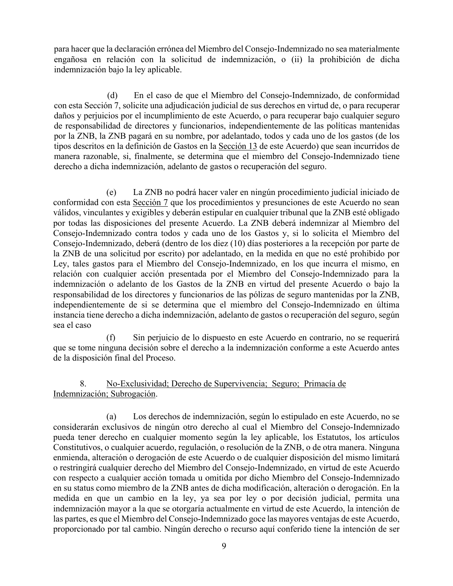para hacer que la declaración errónea del Miembro del Consejo-Indemnizado no sea materialmente engañosa en relación con la solicitud de indemnización, o (ii) la prohibición de dicha indemnización bajo la ley aplicable.

(d) En el caso de que el Miembro del Consejo-Indemnizado, de conformidad con esta Sección 7, solicite una adjudicación judicial de sus derechos en virtud de, o para recuperar daños y perjuicios por el incumplimiento de este Acuerdo, o para recuperar bajo cualquier seguro de responsabilidad de directores y funcionarios, independientemente de las políticas mantenidas por la ZNB, la ZNB pagará en su nombre, por adelantado, todos y cada uno de los gastos (de los tipos descritos en la definición de Gastos en la Sección 13 de este Acuerdo) que sean incurridos de manera razonable, si, finalmente, se determina que el miembro del Consejo-Indemnizado tiene derecho a dicha indemnización, adelanto de gastos o recuperación del seguro.

(e) La ZNB no podrá hacer valer en ningún procedimiento judicial iniciado de conformidad con esta Sección 7 que los procedimientos y presunciones de este Acuerdo no sean válidos, vinculantes y exigibles y deberán estipular en cualquier tribunal que la ZNB esté obligado por todas las disposiciones del presente Acuerdo. La ZNB deberá indemnizar al Miembro del Consejo-Indemnizado contra todos y cada uno de los Gastos y, si lo solicita el Miembro del Consejo-Indemnizado, deberá (dentro de los diez (10) días posteriores a la recepción por parte de la ZNB de una solicitud por escrito) por adelantado, en la medida en que no esté prohibido por Ley, tales gastos para el Miembro del Consejo-Indemnizado, en los que incurra el mismo, en relación con cualquier acción presentada por el Miembro del Consejo-Indemnizado para la indemnización o adelanto de los Gastos de la ZNB en virtud del presente Acuerdo o bajo la responsabilidad de los directores y funcionarios de las pólizas de seguro mantenidas por la ZNB, independientemente de si se determina que el miembro del Consejo-Indemnizado en última instancia tiene derecho a dicha indemnización, adelanto de gastos o recuperación del seguro, según sea el caso

(f) Sin perjuicio de lo dispuesto en este Acuerdo en contrario, no se requerirá que se tome ninguna decisión sobre el derecho a la indemnización conforme a este Acuerdo antes de la disposición final del Proceso.

### 8. No-Exclusividad; Derecho de Supervivencia; Seguro; Primacía de Indemnización; Subrogación.

(a) Los derechos de indemnización, según lo estipulado en este Acuerdo, no se considerarán exclusivos de ningún otro derecho al cual el Miembro del Consejo-Indemnizado pueda tener derecho en cualquier momento según la ley aplicable, los Estatutos, los artículos Constitutivos, o cualquier acuerdo, regulación, o resolución de la ZNB, o de otra manera. Ninguna enmienda, alteración o derogación de este Acuerdo o de cualquier disposición del mismo limitará o restringirá cualquier derecho del Miembro del Consejo-Indemnizado, en virtud de este Acuerdo con respecto a cualquier acción tomada u omitida por dicho Miembro del Consejo-Indemnizado en su status como miembro de la ZNB antes de dicha modificación, alteración o derogación. En la medida en que un cambio en la ley, ya sea por ley o por decisión judicial, permita una indemnización mayor a la que se otorgaría actualmente en virtud de este Acuerdo, la intención de las partes, es que el Miembro del Consejo-Indemnizado goce las mayores ventajas de este Acuerdo, proporcionado por tal cambio. Ningún derecho o recurso aquí conferido tiene la intención de ser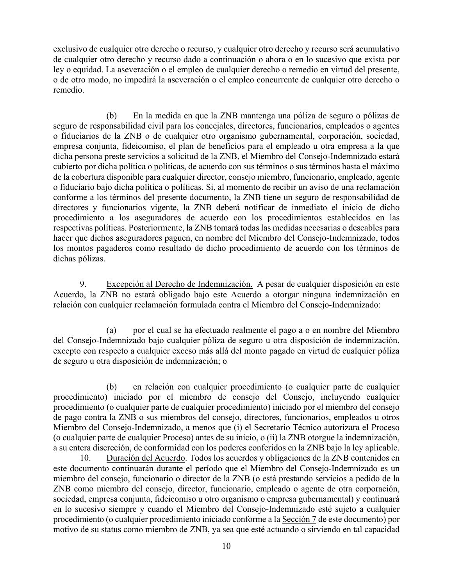exclusivo de cualquier otro derecho o recurso, y cualquier otro derecho y recurso será acumulativo de cualquier otro derecho y recurso dado a continuación o ahora o en lo sucesivo que exista por ley o equidad. La aseveración o el empleo de cualquier derecho o remedio en virtud del presente, o de otro modo, no impedirá la aseveración o el empleo concurrente de cualquier otro derecho o remedio.

(b) En la medida en que la ZNB mantenga una póliza de seguro o pólizas de seguro de responsabilidad civil para los concejales, directores, funcionarios, empleados o agentes o fiduciarios de la ZNB o de cualquier otro organismo gubernamental, corporación, sociedad, empresa conjunta, fideicomiso, el plan de beneficios para el empleado u otra empresa a la que dicha persona preste servicios a solicitud de la ZNB, el Miembro del Consejo-Indemnizado estará cubierto por dicha política o políticas, de acuerdo con sus términos o sus términos hasta el máximo de la cobertura disponible para cualquier director, consejo miembro, funcionario, empleado, agente o fiduciario bajo dicha política o políticas. Si, al momento de recibir un aviso de una reclamación conforme a los términos del presente documento, la ZNB tiene un seguro de responsabilidad de directores y funcionarios vigente, la ZNB deberá notificar de inmediato el inicio de dicho procedimiento a los aseguradores de acuerdo con los procedimientos establecidos en las respectivas políticas. Posteriormente, la ZNB tomará todas las medidas necesarias o deseables para hacer que dichos aseguradores paguen, en nombre del Miembro del Consejo-Indemnizado, todos los montos pagaderos como resultado de dicho procedimiento de acuerdo con los términos de dichas pólizas.

9. Excepción al Derecho de Indemnización. A pesar de cualquier disposición en este Acuerdo, la ZNB no estará obligado bajo este Acuerdo a otorgar ninguna indemnización en relación con cualquier reclamación formulada contra el Miembro del Consejo-Indemnizado:

(a) por el cual se ha efectuado realmente el pago a o en nombre del Miembro del Consejo-Indemnizado bajo cualquier póliza de seguro u otra disposición de indemnización, excepto con respecto a cualquier exceso más allá del monto pagado en virtud de cualquier póliza de seguro u otra disposición de indemnización; o

(b) en relación con cualquier procedimiento (o cualquier parte de cualquier procedimiento) iniciado por el miembro de consejo del Consejo, incluyendo cualquier procedimiento (o cualquier parte de cualquier procedimiento) iniciado por el miembro del consejo de pago contra la ZNB o sus miembros del consejo, directores, funcionarios, empleados u otros Miembro del Consejo-Indemnizado, a menos que (i) el Secretario Técnico autorizara el Proceso (o cualquier parte de cualquier Proceso) antes de su inicio, o (ii) la ZNB otorgue la indemnización, a su entera discreción, de conformidad con los poderes conferidos en la ZNB bajo la ley aplicable.

10. Duración del Acuerdo. Todos los acuerdos y obligaciones de la ZNB contenidos en este documento continuarán durante el período que el Miembro del Consejo-Indemnizado es un miembro del consejo, funcionario o director de la ZNB (o está prestando servicios a pedido de la ZNB como miembro del consejo, director, funcionario, empleado o agente de otra corporación, sociedad, empresa conjunta, fideicomiso u otro organismo o empresa gubernamental) y continuará en lo sucesivo siempre y cuando el Miembro del Consejo-Indemnizado esté sujeto a cualquier procedimiento (o cualquier procedimiento iniciado conforme a la Sección 7 de este documento) por motivo de su status como miembro de ZNB, ya sea que esté actuando o sirviendo en tal capacidad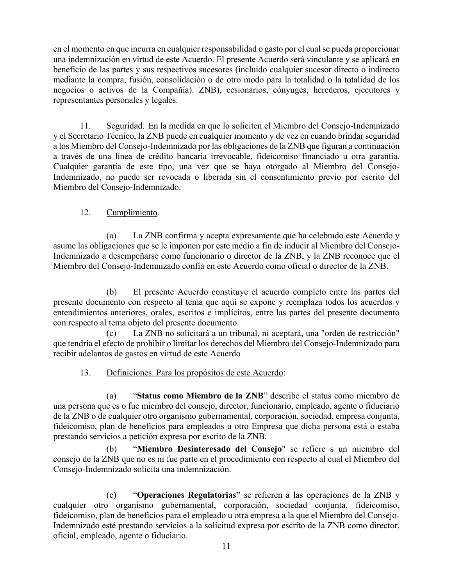en el momento en que incurra en cualquier responsabilidad o gasto por el cual se pueda proporcionar una indemnización en virtud de este Acuerdo. El presente Acuerdo será vinculante y se aplicará en beneficio de las partes y sus respectivos sucesores (incluido cualquier sucesor directo o indirecto mediante la compra, fusión, consolidación o de otro modo para la totalidad o la totalidad de los negocios o activos de la Compañía). ZNB), cesionarios, cónyuges, herederos, ejecutores y representantes personales y legales.

11. Seguridad. En la medida en que lo soliciten el Miembro del Consejo-Indemnizado y el Secretario Técnico, la ZNB puede en cualquier momento y de vez en cuando brindar seguridad a los Miembro del Consejo-Indemnizado por las obligaciones de la ZNB que figuran a continuación a través de una línea de crédito bancaria irrevocable, fideicomiso financiado u otra garantía. Cualquier garantía de este tipo, una vez que se haya otorgado al Miembro del Consejo-Indemnizado, no puede ser revocada o liberada sin el consentimiento previo por escrito del Miembro del Consejo-Indemnizado.

#### 12. Cumplimiento.

(a) La ZNB confirma y acepta expresamente que ha celebrado este Acuerdo y asume las obligaciones que se le imponen por este medio a fin de inducir al Miembro del Consejo-Indemnizado a desempeñarse como funcionario o director de la ZNB, y la ZNB reconoce que el Miembro del Consejo-Indemnizado confía en este Acuerdo como oficial o director de la ZNB.

(b) El presente Acuerdo constituye el acuerdo completo entre las partes del presente documento con respecto al tema que aquí se expone y reemplaza todos los acuerdos y entendimientos anteriores, orales, escritos e implícitos, entre las partes del presente documento con respecto al tema objeto del presente documento.

(c) La ZNB no solicitará a un tribunal, ni aceptará, una "orden de restricción" que tendría el efecto de prohibir o limitar los derechos del Miembro del Consejo-Indemnizado para recibir adelantos de gastos en virtud de este Acuerdo

#### 13. Definiciones. Para los propósitos de este Acuerdo:

(a) "**Status como Miembro de la ZNB**" describe el status como miembro de una persona que es o fue miembro del consejo, director, funcionario, empleado, agente o fiduciario de la ZNB o de cualquier otro organismo gubernamental, corporación, sociedad, empresa conjunta, fideicomiso, plan de beneficios para empleados u otro Empresa que dicha persona está o estaba prestando servicios a petición expresa por escrito de la ZNB.

(b) "**Miembro Desinteresado del Consejo**" se refiere s un miembro del consejo de la ZNB que no es ni fue parte en el procedimiento con respecto al cual el Miembro del Consejo-Indemnizado solicita una indemnización.

(c) "**Operaciones Regulatorias"** se refieren a las operaciones de la ZNB y cualquier otro organismo gubernamental, corporación, sociedad conjunta, fideicomiso, fideicomiso, plan de beneficios para el empleado u otra empresa a la que el Miembro del Consejo-Indemnizado esté prestando servicios a la solicitud expresa por escrito de la ZNB como director, oficial, empleado, agente o fiduciario.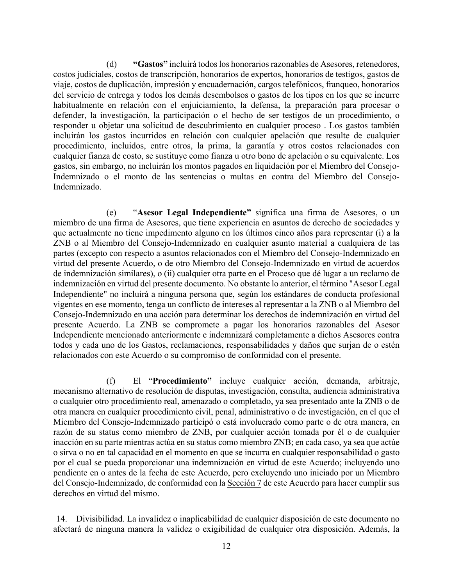(d) **"Gastos"** incluirá todos los honorarios razonables de Asesores, retenedores, costos judiciales, costos de transcripción, honorarios de expertos, honorarios de testigos, gastos de viaje, costos de duplicación, impresión y encuadernación, cargos telefónicos, franqueo, honorarios del servicio de entrega y todos los demás desembolsos o gastos de los tipos en los que se incurre habitualmente en relación con el enjuiciamiento, la defensa, la preparación para procesar o defender, la investigación, la participación o el hecho de ser testigos de un procedimiento, o responder u objetar una solicitud de descubrimiento en cualquier proceso . Los gastos también incluirán los gastos incurridos en relación con cualquier apelación que resulte de cualquier procedimiento, incluidos, entre otros, la prima, la garantía y otros costos relacionados con cualquier fianza de costo, se sustituye como fianza u otro bono de apelación o su equivalente. Los gastos, sin embargo, no incluirán los montos pagados en liquidación por el Miembro del Consejo-Indemnizado o el monto de las sentencias o multas en contra del Miembro del Consejo-Indemnizado.

(e) "**Asesor Legal Independiente"** significa una firma de Asesores, o un miembro de una firma de Asesores, que tiene experiencia en asuntos de derecho de sociedades y que actualmente no tiene impedimento alguno en los últimos cinco años para representar (i) a la ZNB o al Miembro del Consejo-Indemnizado en cualquier asunto material a cualquiera de las partes (excepto con respecto a asuntos relacionados con el Miembro del Consejo-Indemnizado en virtud del presente Acuerdo, o de otro Miembro del Consejo-Indemnizado en virtud de acuerdos de indemnización similares), o (ii) cualquier otra parte en el Proceso que dé lugar a un reclamo de indemnización en virtud del presente documento. No obstante lo anterior, el término "Asesor Legal Independiente" no incluirá a ninguna persona que, según los estándares de conducta profesional vigentes en ese momento, tenga un conflicto de intereses al representar a la ZNB o al Miembro del Consejo-Indemnizado en una acción para determinar los derechos de indemnización en virtud del presente Acuerdo. La ZNB se compromete a pagar los honorarios razonables del Asesor Independiente mencionado anteriormente e indemnizará completamente a dichos Asesores contra todos y cada uno de los Gastos, reclamaciones, responsabilidades y daños que surjan de o estén relacionados con este Acuerdo o su compromiso de conformidad con el presente.

(f) El "**Procedimiento"** incluye cualquier acción, demanda, arbitraje, mecanismo alternativo de resolución de disputas, investigación, consulta, audiencia administrativa o cualquier otro procedimiento real, amenazado o completado, ya sea presentado ante la ZNB o de otra manera en cualquier procedimiento civil, penal, administrativo o de investigación, en el que el Miembro del Consejo-Indemnizado participó o está involucrado como parte o de otra manera, en razón de su status como miembro de ZNB, por cualquier acción tomada por él o de cualquier inacción en su parte mientras actúa en su status como miembro ZNB; en cada caso, ya sea que actúe o sirva o no en tal capacidad en el momento en que se incurra en cualquier responsabilidad o gasto por el cual se pueda proporcionar una indemnización en virtud de este Acuerdo; incluyendo uno pendiente en o antes de la fecha de este Acuerdo, pero excluyendo uno iniciado por un Miembro del Consejo-Indemnizado, de conformidad con la Sección 7 de este Acuerdo para hacer cumplir sus derechos en virtud del mismo.

14. Divisibilidad. La invalidez o inaplicabilidad de cualquier disposición de este documento no afectará de ninguna manera la validez o exigibilidad de cualquier otra disposición. Además, la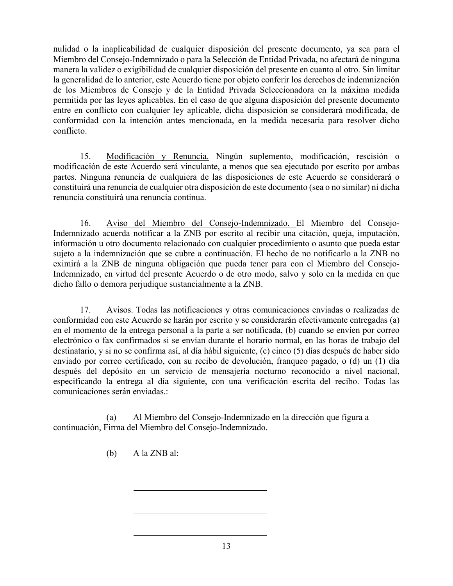nulidad o la inaplicabilidad de cualquier disposición del presente documento, ya sea para el Miembro del Consejo-Indemnizado o para la Selección de Entidad Privada, no afectará de ninguna manera la validez o exigibilidad de cualquier disposición del presente en cuanto al otro. Sin limitar la generalidad de lo anterior, este Acuerdo tiene por objeto conferir los derechos de indemnización de los Miembros de Consejo y de la Entidad Privada Seleccionadora en la máxima medida permitida por las leyes aplicables. En el caso de que alguna disposición del presente documento entre en conflicto con cualquier ley aplicable, dicha disposición se considerará modificada, de conformidad con la intención antes mencionada, en la medida necesaria para resolver dicho conflicto.

15. Modificación y Renuncia. Ningún suplemento, modificación, rescisión o modificación de este Acuerdo será vinculante, a menos que sea ejecutado por escrito por ambas partes. Ninguna renuncia de cualquiera de las disposiciones de este Acuerdo se considerará o constituirá una renuncia de cualquier otra disposición de este documento (sea o no similar) ni dicha renuncia constituirá una renuncia continua.

16. Aviso del Miembro del Consejo-Indemnizado. El Miembro del Consejo-Indemnizado acuerda notificar a la ZNB por escrito al recibir una citación, queja, imputación, información u otro documento relacionado con cualquier procedimiento o asunto que pueda estar sujeto a la indemnización que se cubre a continuación. El hecho de no notificarlo a la ZNB no eximirá a la ZNB de ninguna obligación que pueda tener para con el Miembro del Consejo-Indemnizado, en virtud del presente Acuerdo o de otro modo, salvo y solo en la medida en que dicho fallo o demora perjudique sustancialmente a la ZNB.

17. Avisos. Todas las notificaciones y otras comunicaciones enviadas o realizadas de conformidad con este Acuerdo se harán por escrito y se considerarán efectivamente entregadas (a) en el momento de la entrega personal a la parte a ser notificada, (b) cuando se envíen por correo electrónico o fax confirmados si se envían durante el horario normal, en las horas de trabajo del destinatario, y si no se confirma así, al día hábil siguiente, (c) cinco (5) días después de haber sido enviado por correo certificado, con su recibo de devolución, franqueo pagado, o (d) un (1) día después del depósito en un servicio de mensajería nocturno reconocido a nivel nacional, especificando la entrega al día siguiente, con una verificación escrita del recibo. Todas las comunicaciones serán enviadas.:

(a) Al Miembro del Consejo-Indemnizado en la dirección que figura a continuación, Firma del Miembro del Consejo-Indemnizado.

(b) A la ZNB al: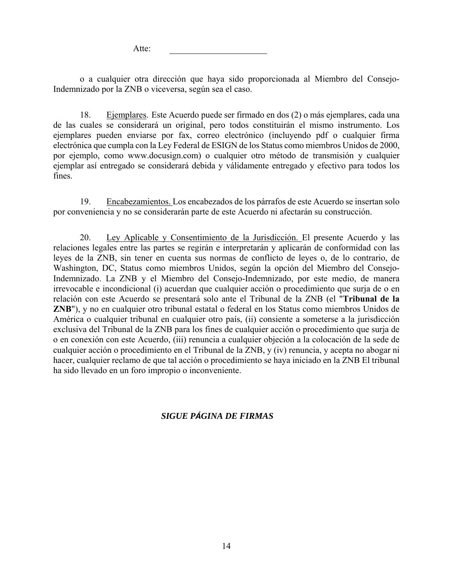Atte:

o a cualquier otra dirección que haya sido proporcionada al Miembro del Consejo-Indemnizado por la ZNB o viceversa, según sea el caso.

18. Ejemplares. Este Acuerdo puede ser firmado en dos (2) o más ejemplares, cada una de las cuales se considerará un original, pero todos constituirán el mismo instrumento. Los ejemplares pueden enviarse por fax, correo electrónico (incluyendo pdf o cualquier firma electrónica que cumpla con la Ley Federal de ESIGN de los Status como miembros Unidos de 2000, por ejemplo, como www.docusign.com) o cualquier otro método de transmisión y cualquier ejemplar así entregado se considerará debida y válidamente entregado y efectivo para todos los fines.

19. Encabezamientos. Los encabezados de los párrafos de este Acuerdo se insertan solo por conveniencia y no se considerarán parte de este Acuerdo ni afectarán su construcción.

20. Ley Aplicable y Consentimiento de la Jurisdicción. El presente Acuerdo y las relaciones legales entre las partes se regirán e interpretarán y aplicarán de conformidad con las leyes de la ZNB, sin tener en cuenta sus normas de conflicto de leyes o, de lo contrario, de Washington, DC, Status como miembros Unidos, según la opción del Miembro del Consejo-Indemnizado. La ZNB y el Miembro del Consejo-Indemnizado, por este medio, de manera irrevocable e incondicional (i) acuerdan que cualquier acción o procedimiento que surja de o en relación con este Acuerdo se presentará solo ante el Tribunal de la ZNB (el "**Tribunal de la ZNB**"), y no en cualquier otro tribunal estatal o federal en los Status como miembros Unidos de América o cualquier tribunal en cualquier otro país, (ii) consiente a someterse a la jurisdicción exclusiva del Tribunal de la ZNB para los fines de cualquier acción o procedimiento que surja de o en conexión con este Acuerdo, (iii) renuncia a cualquier objeción a la colocación de la sede de cualquier acción o procedimiento en el Tribunal de la ZNB, y (iv) renuncia, y acepta no abogar ni hacer, cualquier reclamo de que tal acción o procedimiento se haya iniciado en la ZNB El tribunal ha sido llevado en un foro impropio o inconveniente.

#### *SIGUE PÁGINA DE FIRMAS*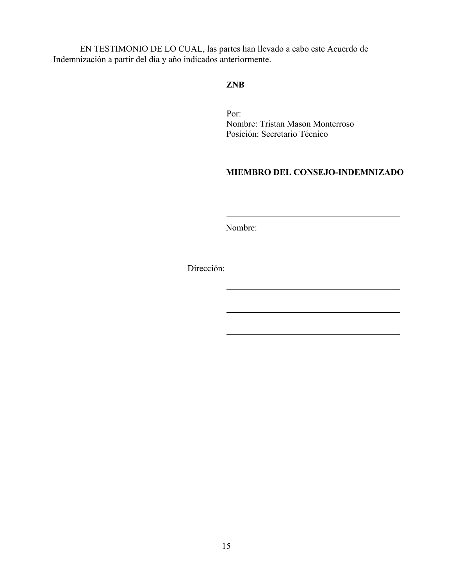EN TESTIMONIO DE LO CUAL, las partes han llevado a cabo este Acuerdo de Indemnización a partir del día y año indicados anteriormente.

#### **ZNB**

Por: Nombre: Tristan Mason Monterroso Posición: Secretario Técnico

#### **MIEMBRO DEL CONSEJO-INDEMNIZADO**

Nombre:

Dirección: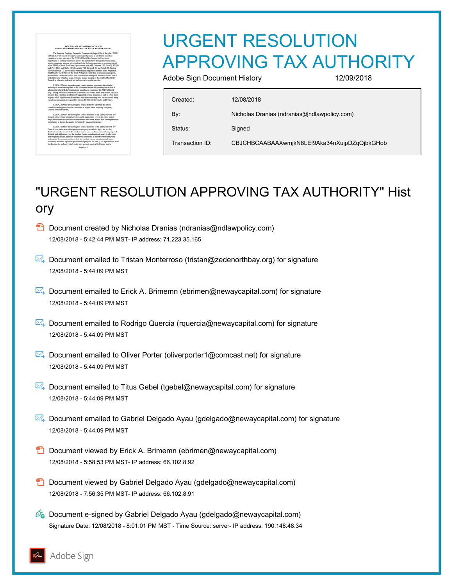# URGENT RESOLUTION APPROVING TAX AUTHORITY

Adobe Sign Document History 12/09/2018

Created: 12/08/2018 Status: Signed

By: Nicholas Dranias (ndranias@ndlawpolicy.com) Transaction ID: CBJCHBCAABAAXwmjkN8LEf9Aka34nXujpDZqQjbkGHob

# "URGENT RESOLUTION APPROVING TAX AUTHORITY" Hist ory

- $\Box$  Document created by Nicholas Dranias (ndranias@ndlawpolicy.com) 12/08/2018 - 5:42:44 PM MST- IP address: 71.223.35.165
- Document emailed to Tristan Monterroso (tristan@zedenorthbay.org) for signature 12/08/2018 - 5:44:09 PM MST
- Document emailed to Erick A. Brimemn (ebrimen@newaycapital.com) for signature 12/08/2018 - 5:44:09 PM MST
- Document emailed to Rodrigo Quercia (rquercia@newaycapital.com) for signature 12/08/2018 - 5:44:09 PM MST
- **E** Document emailed to Oliver Porter (oliverporter1@comcast.net) for signature 12/08/2018 - 5:44:09 PM MST
- Document emailed to Titus Gebel (tgebel@newaycapital.com) for signature 12/08/2018 - 5:44:09 PM MST
- Document emailed to Gabriel Delgado Ayau (gdelgado@newaycapital.com) for signature 12/08/2018 - 5:44:09 PM MST
- $\Box$  Document viewed by Erick A. Brimemn (ebrimen@newaycapital.com) 12/08/2018 - 5:58:53 PM MST- IP address: 66.102.8.92
- **D** Document viewed by Gabriel Delgado Ayau (gdelgado@newaycapital.com) 12/08/2018 - 7:56:35 PM MST- IP address: 66.102.8.91
- Co Document e-signed by Gabriel Delgado Ayau (gdelgado@newaycapital.com) Signature Date: 12/08/2018 - 8:01:01 PM MST - Time Source: server- IP address: 190.148.48.34